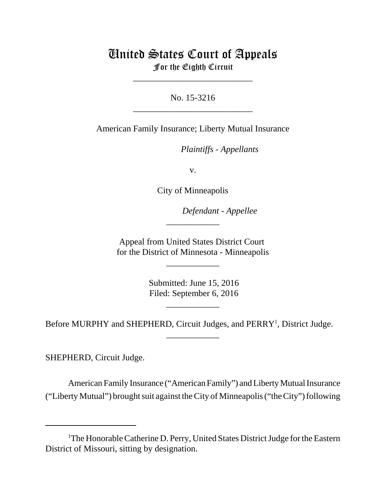# United States Court of Appeals For the Eighth Circuit

\_\_\_\_\_\_\_\_\_\_\_\_\_\_\_\_\_\_\_\_\_\_\_\_\_\_\_

No. 15-3216 \_\_\_\_\_\_\_\_\_\_\_\_\_\_\_\_\_\_\_\_\_\_\_\_\_\_\_

American Family Insurance; Liberty Mutual Insurance

*Plaintiffs - Appellants* 

v.

City of Minneapolis

Defendant - Appellee

Appeal from United States District Court for the District of Minnesota - Minneapolis

\_\_\_\_\_\_\_\_\_\_\_\_

\_\_\_\_\_\_\_\_\_\_\_\_

 Submitted: June 15, 2016 Filed: September 6, 2016

\_\_\_\_\_\_\_\_\_\_\_\_

Before MURPHY and SHEPHERD, Circuit Judges, and PERRY<sup>1</sup>, District Judge.

\_\_\_\_\_\_\_\_\_\_\_\_

SHEPHERD, Circuit Judge.

American Family Insurance ("American Family") and Liberty Mutual Insurance ("Liberty Mutual") brought suit against the City of Minneapolis ("the City") following

<sup>&</sup>lt;sup>1</sup>The Honorable Catherine D. Perry, United States District Judge for the Eastern District of Missouri, sitting by designation.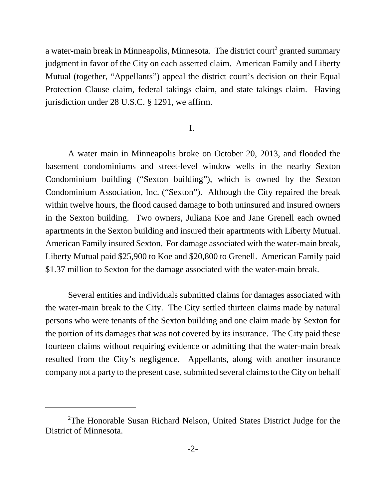a water-main break in Minneapolis, Minnesota. The district court<sup>2</sup> granted summary judgment in favor of the City on each asserted claim. American Family and Liberty Mutual (together, "Appellants") appeal the district court's decision on their Equal Protection Clause claim, federal takings claim, and state takings claim. Having jurisdiction under 28 U.S.C. § 1291, we affirm.

# I.

A water main in Minneapolis broke on October 20, 2013, and flooded the basement condominiums and street-level window wells in the nearby Sexton Condominium building ("Sexton building"), which is owned by the Sexton Condominium Association, Inc. ("Sexton"). Although the City repaired the break within twelve hours, the flood caused damage to both uninsured and insured owners in the Sexton building. Two owners, Juliana Koe and Jane Grenell each owned apartments in the Sexton building and insured their apartments with Liberty Mutual. American Family insured Sexton. For damage associated with the water-main break, Liberty Mutual paid \$25,900 to Koe and \$20,800 to Grenell. American Family paid \$1.37 million to Sexton for the damage associated with the water-main break.

Several entities and individuals submitted claims for damages associated with the water-main break to the City. The City settled thirteen claims made by natural persons who were tenants of the Sexton building and one claim made by Sexton for the portion of its damages that was not covered by its insurance. The City paid these fourteen claims without requiring evidence or admitting that the water-main break resulted from the City's negligence. Appellants, along with another insurance company not a party to the present case, submitted several claims to the City on behalf

<sup>&</sup>lt;sup>2</sup>The Honorable Susan Richard Nelson, United States District Judge for the District of Minnesota.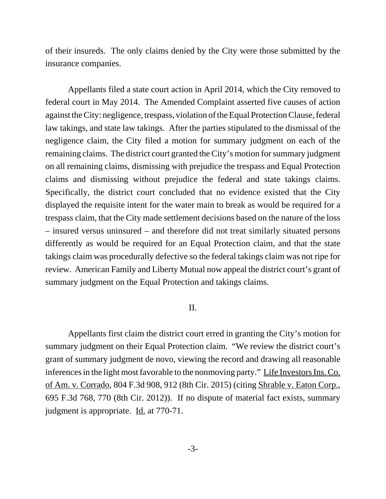of their insureds. The only claims denied by the City were those submitted by the insurance companies.

Appellants filed a state court action in April 2014, which the City removed to federal court in May 2014. The Amended Complaint asserted five causes of action against the City: negligence, trespass, violation of the Equal Protection Clause, federal law takings, and state law takings. After the parties stipulated to the dismissal of the negligence claim, the City filed a motion for summary judgment on each of the remaining claims. The district court granted the City's motion for summary judgment on all remaining claims, dismissing with prejudice the trespass and Equal Protection claims and dismissing without prejudice the federal and state takings claims. Specifically, the district court concluded that no evidence existed that the City displayed the requisite intent for the water main to break as would be required for a trespass claim, that the City made settlement decisions based on the nature of the loss – insured versus uninsured – and therefore did not treat similarly situated persons differently as would be required for an Equal Protection claim, and that the state takings claim was procedurally defective so the federal takings claim was not ripe for review. American Family and Liberty Mutual now appeal the district court's grant of summary judgment on the Equal Protection and takings claims.

## II.

Appellants first claim the district court erred in granting the City's motion for summary judgment on their Equal Protection claim. "We review the district court's grant of summary judgment de novo, viewing the record and drawing all reasonable inferences in the light most favorable to the nonmoving party." Life Investors Ins. Co. of Am. v. Corrado, 804 F.3d 908, 912 (8th Cir. 2015) (citing Shrable v. Eaton Corp., 695 F.3d 768, 770 (8th Cir. 2012)). If no dispute of material fact exists, summary judgment is appropriate. Id. at 770-71.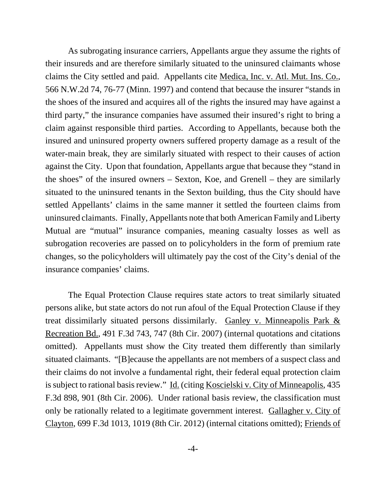As subrogating insurance carriers, Appellants argue they assume the rights of their insureds and are therefore similarly situated to the uninsured claimants whose claims the City settled and paid. Appellants cite Medica, Inc. v. Atl. Mut. Ins. Co., 566 N.W.2d 74, 76-77 (Minn. 1997) and contend that because the insurer "stands in the shoes of the insured and acquires all of the rights the insured may have against a third party," the insurance companies have assumed their insured's right to bring a claim against responsible third parties. According to Appellants, because both the insured and uninsured property owners suffered property damage as a result of the water-main break, they are similarly situated with respect to their causes of action against the City. Upon that foundation, Appellants argue that because they "stand in the shoes" of the insured owners – Sexton, Koe, and Grenell – they are similarly situated to the uninsured tenants in the Sexton building, thus the City should have settled Appellants' claims in the same manner it settled the fourteen claims from uninsured claimants. Finally, Appellants note that both American Family and Liberty Mutual are "mutual" insurance companies, meaning casualty losses as well as subrogation recoveries are passed on to policyholders in the form of premium rate changes, so the policyholders will ultimately pay the cost of the City's denial of the insurance companies' claims.

The Equal Protection Clause requires state actors to treat similarly situated persons alike, but state actors do not run afoul of the Equal Protection Clause if they treat dissimilarly situated persons dissimilarly. Ganley v. Minneapolis Park & Recreation Bd., 491 F.3d 743, 747 (8th Cir. 2007) (internal quotations and citations omitted). Appellants must show the City treated them differently than similarly situated claimants. "[B]ecause the appellants are not members of a suspect class and their claims do not involve a fundamental right, their federal equal protection claim is subject to rational basis review." Id. (citing Koscielski v. City of Minneapolis, 435 F.3d 898, 901 (8th Cir. 2006). Under rational basis review, the classification must only be rationally related to a legitimate government interest. Gallagher v. City of Clayton, 699 F.3d 1013, 1019 (8th Cir. 2012) (internal citations omitted); Friends of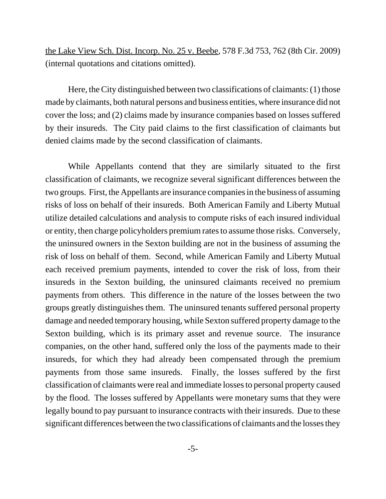the Lake View Sch. Dist. Incorp. No. 25 v. Beebe, 578 F.3d 753, 762 (8th Cir. 2009) (internal quotations and citations omitted).

Here, the City distinguished between two classifications of claimants: (1) those made by claimants, both natural persons and business entities, where insurance did not cover the loss; and (2) claims made by insurance companies based on losses suffered by their insureds. The City paid claims to the first classification of claimants but denied claims made by the second classification of claimants.

While Appellants contend that they are similarly situated to the first classification of claimants, we recognize several significant differences between the two groups. First, the Appellants are insurance companies in the business of assuming risks of loss on behalf of their insureds. Both American Family and Liberty Mutual utilize detailed calculations and analysis to compute risks of each insured individual or entity, then charge policyholders premium rates to assume those risks. Conversely, the uninsured owners in the Sexton building are not in the business of assuming the risk of loss on behalf of them. Second, while American Family and Liberty Mutual each received premium payments, intended to cover the risk of loss, from their insureds in the Sexton building, the uninsured claimants received no premium payments from others. This difference in the nature of the losses between the two groups greatly distinguishes them. The uninsured tenants suffered personal property damage and needed temporary housing, while Sexton suffered property damage to the Sexton building, which is its primary asset and revenue source. The insurance companies, on the other hand, suffered only the loss of the payments made to their insureds, for which they had already been compensated through the premium payments from those same insureds. Finally, the losses suffered by the first classification of claimants were real and immediate losses to personal property caused by the flood. The losses suffered by Appellants were monetary sums that they were legally bound to pay pursuant to insurance contracts with their insureds. Due to these significant differences between the two classifications of claimants and the losses they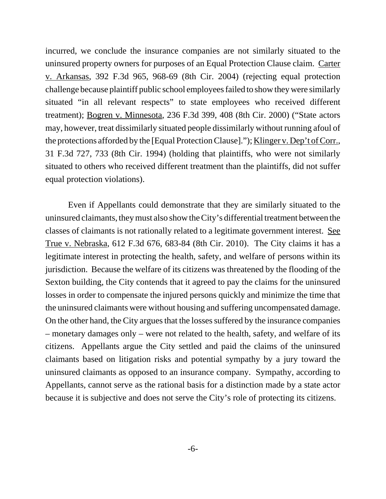incurred, we conclude the insurance companies are not similarly situated to the uninsured property owners for purposes of an Equal Protection Clause claim. Carter v. Arkansas, 392 F.3d 965, 968-69 (8th Cir. 2004) (rejecting equal protection challenge because plaintiff public school employees failed to show they were similarly situated "in all relevant respects" to state employees who received different treatment); Bogren v. Minnesota, 236 F.3d 399, 408 (8th Cir. 2000) ("State actors may, however, treat dissimilarly situated people dissimilarly without running afoul of the protections afforded by the [Equal Protection Clause]."); Klinger v. Dep't of Corr., 31 F.3d 727, 733 (8th Cir. 1994) (holding that plaintiffs, who were not similarly situated to others who received different treatment than the plaintiffs, did not suffer equal protection violations).

Even if Appellants could demonstrate that they are similarly situated to the uninsured claimants, they must also show the City's differential treatment between the classes of claimants is not rationally related to a legitimate government interest. See True v. Nebraska, 612 F.3d 676, 683-84 (8th Cir. 2010). The City claims it has a legitimate interest in protecting the health, safety, and welfare of persons within its jurisdiction. Because the welfare of its citizens was threatened by the flooding of the Sexton building, the City contends that it agreed to pay the claims for the uninsured losses in order to compensate the injured persons quickly and minimize the time that the uninsured claimants were without housing and suffering uncompensated damage. On the other hand, the City argues that the losses suffered by the insurance companies – monetary damages only – were not related to the health, safety, and welfare of its citizens. Appellants argue the City settled and paid the claims of the uninsured claimants based on litigation risks and potential sympathy by a jury toward the uninsured claimants as opposed to an insurance company. Sympathy, according to Appellants, cannot serve as the rational basis for a distinction made by a state actor because it is subjective and does not serve the City's role of protecting its citizens.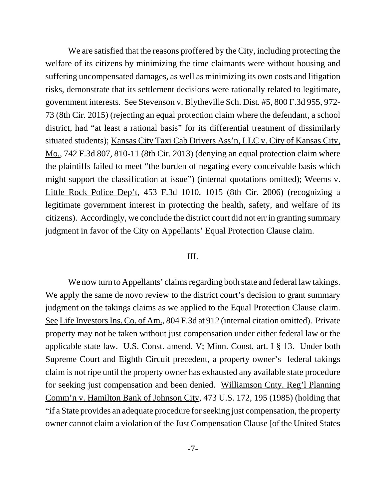We are satisfied that the reasons proffered by the City, including protecting the welfare of its citizens by minimizing the time claimants were without housing and suffering uncompensated damages, as well as minimizing its own costs and litigation risks, demonstrate that its settlement decisions were rationally related to legitimate, government interests. See Stevenson v. Blytheville Sch. Dist. #5, 800 F.3d 955, 972- 73 (8th Cir. 2015) (rejecting an equal protection claim where the defendant, a school district, had "at least a rational basis" for its differential treatment of dissimilarly situated students); Kansas City Taxi Cab Drivers Ass'n, LLC v. City of Kansas City, Mo., 742 F.3d 807, 810-11 (8th Cir. 2013) (denying an equal protection claim where the plaintiffs failed to meet "the burden of negating every conceivable basis which might support the classification at issue") (internal quotations omitted); Weems v. Little Rock Police Dep't, 453 F.3d 1010, 1015 (8th Cir. 2006) (recognizing a legitimate government interest in protecting the health, safety, and welfare of its citizens). Accordingly, we conclude the district court did not err in granting summary judgment in favor of the City on Appellants' Equal Protection Clause claim.

## III.

We now turn to Appellants' claims regarding both state and federal law takings. We apply the same de novo review to the district court's decision to grant summary judgment on the takings claims as we applied to the Equal Protection Clause claim. See Life Investors Ins. Co. of Am., 804 F.3d at 912 (internal citation omitted). Private property may not be taken without just compensation under either federal law or the applicable state law. U.S. Const. amend. V; Minn. Const. art. I § 13. Under both Supreme Court and Eighth Circuit precedent, a property owner's federal takings claim is not ripe until the property owner has exhausted any available state procedure for seeking just compensation and been denied. Williamson Cnty. Reg'l Planning Comm'n v. Hamilton Bank of Johnson City, 473 U.S. 172, 195 (1985) (holding that "if a State provides an adequate procedure for seeking just compensation, the property owner cannot claim a violation of the Just Compensation Clause [of the United States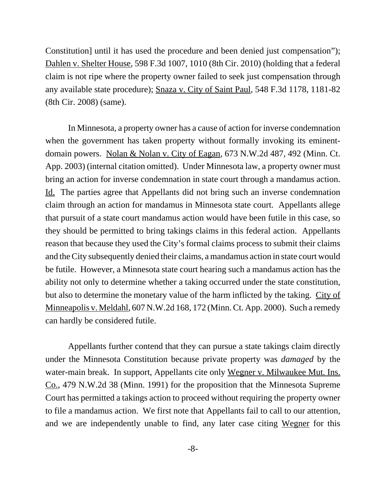Constitution] until it has used the procedure and been denied just compensation"); Dahlen v. Shelter House, 598 F.3d 1007, 1010 (8th Cir. 2010) (holding that a federal claim is not ripe where the property owner failed to seek just compensation through any available state procedure); Snaza v. City of Saint Paul, 548 F.3d 1178, 1181-82 (8th Cir. 2008) (same).

In Minnesota, a property owner has a cause of action for inverse condemnation when the government has taken property without formally invoking its eminentdomain powers. Nolan & Nolan v. City of Eagan, 673 N.W.2d 487, 492 (Minn. Ct. App. 2003) (internal citation omitted). Under Minnesota law, a property owner must bring an action for inverse condemnation in state court through a mandamus action. Id. The parties agree that Appellants did not bring such an inverse condemnation claim through an action for mandamus in Minnesota state court. Appellants allege that pursuit of a state court mandamus action would have been futile in this case, so they should be permitted to bring takings claims in this federal action. Appellants reason that because they used the City's formal claims process to submit their claims and the City subsequently denied their claims, a mandamus action in state court would be futile. However, a Minnesota state court hearing such a mandamus action has the ability not only to determine whether a taking occurred under the state constitution, but also to determine the monetary value of the harm inflicted by the taking. City of Minneapolis v. Meldahl, 607 N.W.2d 168, 172 (Minn. Ct. App. 2000). Such a remedy can hardly be considered futile.

Appellants further contend that they can pursue a state takings claim directly under the Minnesota Constitution because private property was *damaged* by the water-main break. In support, Appellants cite only Wegner v. Milwaukee Mut. Ins. Co., 479 N.W.2d 38 (Minn. 1991) for the proposition that the Minnesota Supreme Court has permitted a takings action to proceed without requiring the property owner to file a mandamus action. We first note that Appellants fail to call to our attention, and we are independently unable to find, any later case citing Wegner for this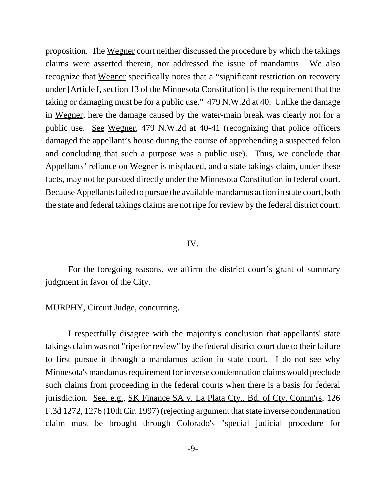proposition. The Wegner court neither discussed the procedure by which the takings claims were asserted therein, nor addressed the issue of mandamus. We also recognize that Wegner specifically notes that a "significant restriction on recovery under [Article I, section 13 of the Minnesota Constitution] is the requirement that the taking or damaging must be for a public use." 479 N.W.2d at 40. Unlike the damage in Wegner, here the damage caused by the water-main break was clearly not for a public use. See Wegner, 479 N.W.2d at 40-41 (recognizing that police officers damaged the appellant's house during the course of apprehending a suspected felon and concluding that such a purpose was a public use). Thus, we conclude that Appellants' reliance on Wegner is misplaced, and a state takings claim, under these facts, may not be pursued directly under the Minnesota Constitution in federal court. Because Appellants failed to pursue the available mandamus action in state court, both the state and federal takings claims are not ripe for review by the federal district court.

## IV.

For the foregoing reasons, we affirm the district court's grant of summary judgment in favor of the City.

MURPHY, Circuit Judge, concurring.

I respectfully disagree with the majority's conclusion that appellants' state takings claim was not "ripe for review" by the federal district court due to their failure to first pursue it through a mandamus action in state court. I do not see why Minnesota's mandamus requirement for inverse condemnation claims would preclude such claims from proceeding in the federal courts when there is a basis for federal jurisdiction. See, e.g., SK Finance SA v. La Plata Cty., Bd. of Cty. Comm'rs, 126 F.3d 1272, 1276 (10th Cir. 1997) (rejecting argument that state inverse condemnation claim must be brought through Colorado's "special judicial procedure for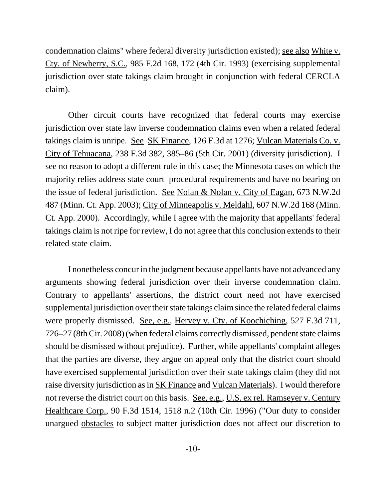condemnation claims" where federal diversity jurisdiction existed); see also White v. Cty. of Newberry, S.C., 985 F.2d 168, 172 (4th Cir. 1993) (exercising supplemental jurisdiction over state takings claim brought in conjunction with federal CERCLA claim).

Other circuit courts have recognized that federal courts may exercise jurisdiction over state law inverse condemnation claims even when a related federal takings claim is unripe. See SK Finance, 126 F.3d at 1276; Vulcan Materials Co. v. City of Tehuacana, 238 F.3d 382, 385–86 (5th Cir. 2001) (diversity jurisdiction). I see no reason to adopt a different rule in this case; the Minnesota cases on which the majority relies address state court procedural requirements and have no bearing on the issue of federal jurisdiction. See Nolan & Nolan v. City of Eagan, 673 N.W.2d 487 (Minn. Ct. App. 2003); City of Minneapolis v. Meldahl, 607 N.W.2d 168 (Minn. Ct. App. 2000). Accordingly, while I agree with the majority that appellants' federal takings claim is not ripe for review, I do not agree that this conclusion extends to their related state claim.

I nonetheless concur in the judgment because appellants have not advanced any arguments showing federal jurisdiction over their inverse condemnation claim. Contrary to appellants' assertions, the district court need not have exercised supplemental jurisdiction over their state takings claim since the related federal claims were properly dismissed. See, e.g., Hervey v. Cty. of Koochiching, 527 F.3d 711, 726–27 (8th Cir. 2008) (when federal claims correctly dismissed, pendent state claims should be dismissed without prejudice). Further, while appellants' complaint alleges that the parties are diverse, they argue on appeal only that the district court should have exercised supplemental jurisdiction over their state takings claim (they did not raise diversity jurisdiction as in SK Finance and Vulcan Materials). I would therefore not reverse the district court on this basis. <u>See, e.g., U.S. ex rel. Ramseyer v. Century</u> Healthcare Corp., 90 F.3d 1514, 1518 n.2 (10th Cir. 1996) ("Our duty to consider unargued obstacles to subject matter jurisdiction does not affect our discretion to